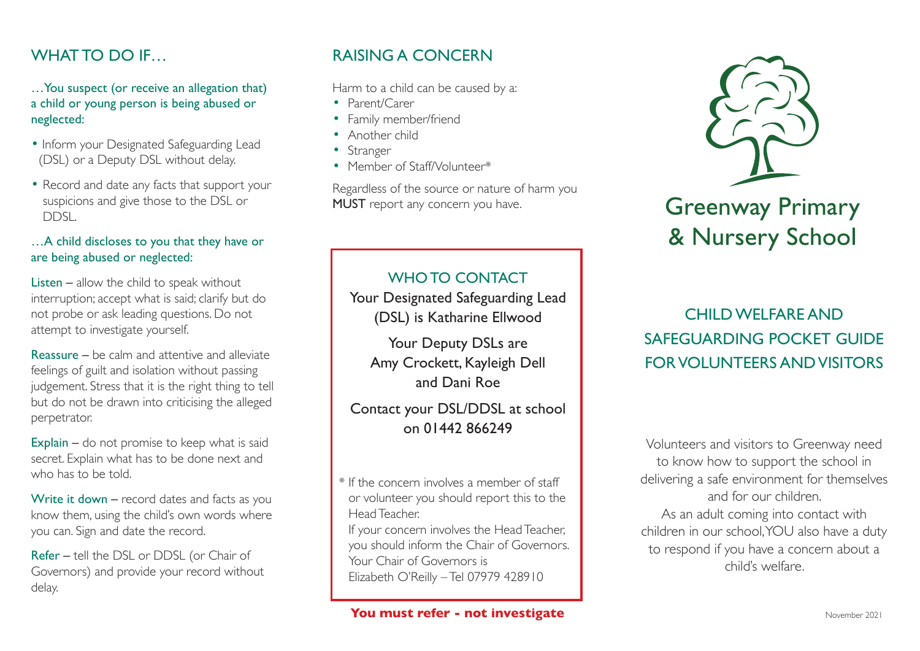## WHAT TO DO IF

…You suspect (or receive an allegation that) a child or young person is being abused or neglected:

- Inform your Designated Safeguarding Lead (DSL) or a Deputy DSL without delay.
- Record and date any facts that support your suspicions and give those to the DSL or DDSL.

#### …A child discloses to you that they have or are being abused or neglected:

Listen – allow the child to speak without interruption; accept what is said; clarify but do not probe or ask leading questions. Do not attempt to investigate yourself.

Reassure – be calm and attentive and alleviate feelings of guilt and isolation without passing judgement. Stress that it is the right thing to tell but do not be drawn into criticising the alleged perpetrator.

Explain – do not promise to keep what is said secret. Explain what has to be done next and who has to be told.

Write it down – record dates and facts as you know them, using the child's own words where you can. Sign and date the record.

Refer – tell the DSL or DDSL (or Chair of Governors) and provide your record without delay.

## RAISING A CONCERN

Harm to a child can be caused by a:

- Parent/Carer
- Family member/friend
- Another child
- Stranger
- Member of Staff/Volunteer\*

Regardless of the source or nature of harm you MUST report any concern you have.

## WHO TO CONTACT

Your Designated Safeguarding Lead (DSL) is Katharine Ellwood

Your Deputy DSLs are Amy Crockett, Kayleigh Dell and Dani Roe

## Contact your DSL/DDSL at school on 01442 866249

\* If the concern involves a member of staff or volunteer you should report this to the Head Teacher.

If your concern involves the Head Teacher, you should inform the Chair of Governors. Your Chair of Governors is Elizabeth O'Reilly – Tel 07979 428910



# **Greenway Primary** & Nursery School

## CHILD WELFARE AND SAFEGUARDING POCKET GUIDE FOR VOLUNTEERS AND VISITORS

Volunteers and visitors to Greenway need to know how to support the school in delivering a safe environment for themselves and for our children. As an adult coming into contact with children in our school, YOU also have a duty to respond if you have a concern about a child's welfare.